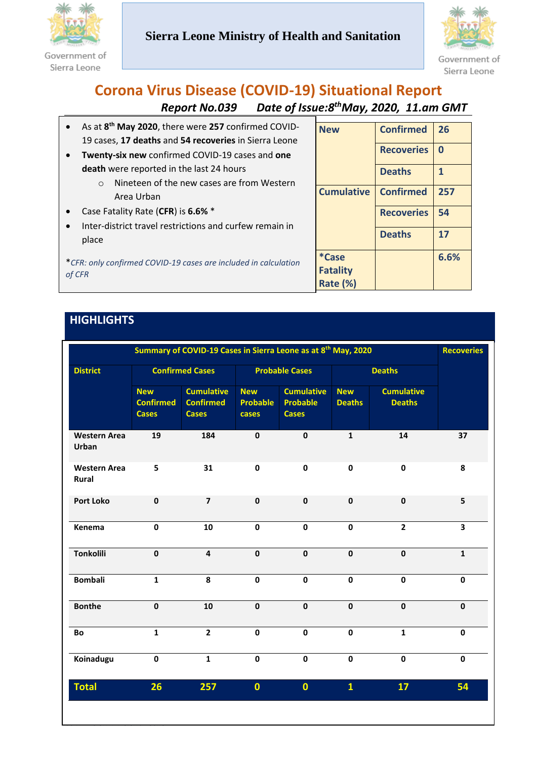

Government of Sierra Leone

# **Sierra Leone Ministry of Health and Sanitation**



### **Corona Virus Disease (COVID-19) Situational Report Report No.039** *thMay, 2020, 11.am GMT*

|                                                                           | As at 8 <sup>th</sup> May 2020, there were 257 confirmed COVID- | <b>New</b>        | <b>Confirmed</b>  | 26       |
|---------------------------------------------------------------------------|-----------------------------------------------------------------|-------------------|-------------------|----------|
|                                                                           | 19 cases, 17 deaths and 54 recoveries in Sierra Leone           |                   |                   |          |
| $\bullet$                                                                 | Twenty-six new confirmed COVID-19 cases and one                 |                   | <b>Recoveries</b> | $\bf{0}$ |
|                                                                           | death were reported in the last 24 hours                        |                   | <b>Deaths</b>     |          |
|                                                                           | Nineteen of the new cases are from Western                      |                   |                   |          |
|                                                                           | Area Urban                                                      | <b>Cumulative</b> | <b>Confirmed</b>  | 257      |
|                                                                           | Case Fatality Rate (CFR) is 6.6% *                              |                   | <b>Recoveries</b> | 54       |
|                                                                           | Inter-district travel restrictions and curfew remain in         |                   |                   |          |
|                                                                           | place                                                           |                   | <b>Deaths</b>     | 17       |
| *CFR: only confirmed COVID-19 cases are included in calculation<br>of CFR |                                                                 | *Case             |                   | 6.6%     |
|                                                                           |                                                                 | <b>Fatality</b>   |                   |          |
|                                                                           |                                                                 |                   |                   |          |

**Rate (%)**

# **HIGHLIGHTS**

*COVID-19 SITREP Sierra Leone*

|                                     | Summary of COVID-19 Cases in Sierra Leone as at 8 <sup>th</sup> May, 2020 |                                                       |                                        |                                                      |                             |                                    |                         |
|-------------------------------------|---------------------------------------------------------------------------|-------------------------------------------------------|----------------------------------------|------------------------------------------------------|-----------------------------|------------------------------------|-------------------------|
| <b>District</b>                     | <b>Confirmed Cases</b>                                                    |                                                       | <b>Probable Cases</b>                  |                                                      | <b>Deaths</b>               |                                    |                         |
|                                     | <b>New</b><br><b>Confirmed</b><br><b>Cases</b>                            | <b>Cumulative</b><br><b>Confirmed</b><br><b>Cases</b> | <b>New</b><br><b>Probable</b><br>cases | <b>Cumulative</b><br><b>Probable</b><br><b>Cases</b> | <b>New</b><br><b>Deaths</b> | <b>Cumulative</b><br><b>Deaths</b> |                         |
| <b>Western Area</b><br><b>Urban</b> | 19                                                                        | 184                                                   | $\mathbf{0}$                           | $\mathbf 0$                                          | $\mathbf{1}$                | 14                                 | 37                      |
| <b>Western Area</b><br>Rural        | 5                                                                         | 31                                                    | $\mathbf 0$                            | $\pmb{0}$                                            | $\pmb{0}$                   | $\mathbf 0$                        | 8                       |
| <b>Port Loko</b>                    | $\mathbf 0$                                                               | $\overline{7}$                                        | $\mathbf 0$                            | $\mathbf{0}$                                         | $\mathbf{0}$                | $\mathbf 0$                        | 5                       |
| Kenema                              | $\mathbf 0$                                                               | 10                                                    | $\mathbf 0$                            | $\mathbf 0$                                          | $\mathbf{0}$                | $\overline{2}$                     | $\overline{\mathbf{3}}$ |
| <b>Tonkolili</b>                    | $\mathbf 0$                                                               | $\overline{\mathbf{4}}$                               | $\mathbf{0}$                           | $\mathbf 0$                                          | $\mathbf 0$                 | $\mathbf 0$                        | $\mathbf{1}$            |
| <b>Bombali</b>                      | $\mathbf{1}$                                                              | 8                                                     | $\mathbf{0}$                           | $\mathbf 0$                                          | $\mathbf{0}$                | $\mathbf 0$                        | $\mathbf{0}$            |
| <b>Bonthe</b>                       | $\mathbf 0$                                                               | 10                                                    | $\mathbf 0$                            | $\mathbf 0$                                          | $\mathbf{0}$                | $\mathbf 0$                        | $\mathbf 0$             |
| Bo                                  | $\mathbf{1}$                                                              | $\overline{2}$                                        | $\mathbf 0$                            | $\mathbf 0$                                          | $\mathbf 0$                 | $\mathbf{1}$                       | $\mathbf 0$             |
| Koinadugu                           | $\mathbf 0$                                                               | $\mathbf{1}$                                          | $\mathbf{0}$                           | $\mathbf 0$                                          | $\mathbf{0}$                | $\mathbf 0$                        | $\mathbf{0}$            |
| <b>Total</b>                        | 26                                                                        | 257                                                   | $\mathbf{0}$                           | $\mathbf{0}$                                         | $\mathbf{1}$                | 17                                 | 54                      |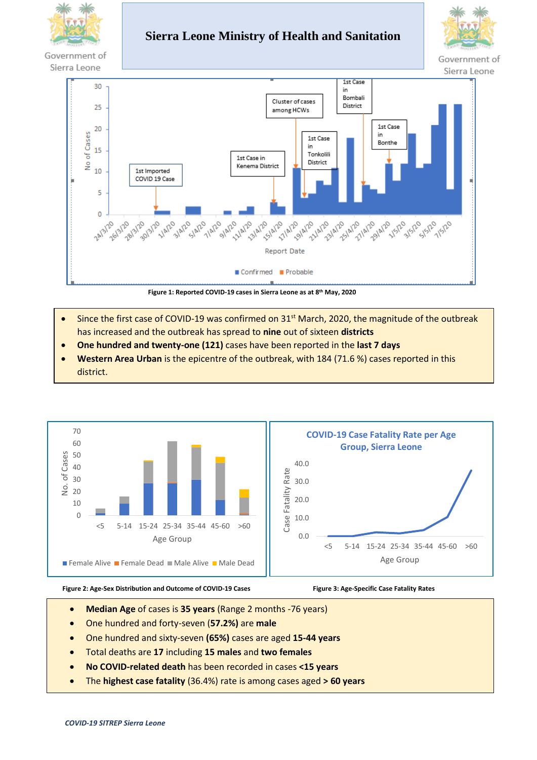

Government of

## **Sierra Leone Ministry of Health and Sanitation**



Sierra Leone



**Figure 1: Reported COVID-19 cases in Sierra Leone as at 8 th May, 2020**

- Since the first case of COVID-19 was confirmed on 31<sup>st</sup> March, 2020, the magnitude of the outbreak has increased and the outbreak has spread to **nine** out of sixteen **districts**
- **One hundred and twenty-one (121)** cases have been reported in the **last 7 days**
- **Western Area Urban** is the epicentre of the outbreak, with 184 (71.6 %) cases reported in this district.



#### **Figure 2: Age-Sex Distribution and Outcome of COVID-19 Cases**

 **Figure 3: Age-Specific Case Fatality Rates**

- **Median Age** of cases is **35 years** (Range 2 months -76 years)
- One hundred and forty-seven (**57.2%)** are **male**
- One hundred and sixty-seven **(65%)** cases are aged **15-44 years**
- Total deaths are **17** including **15 males** and **two females**
- **No COVID-related death** has been recorded in cases **<15 years**
- The **highest case fatality** (36.4%) rate is among cases aged **> 60 years**